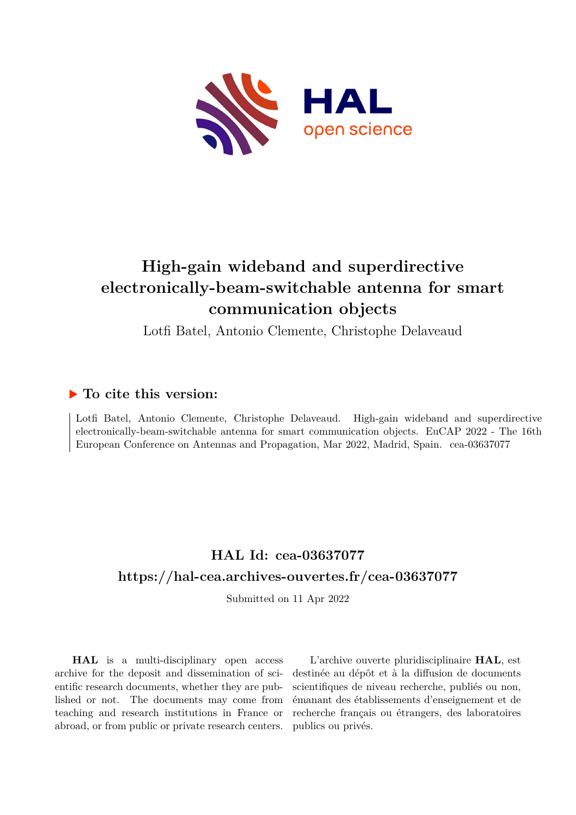

## **High-gain wideband and superdirective electronically-beam-switchable antenna for smart communication objects**

Lotfi Batel, Antonio Clemente, Christophe Delaveaud

### **To cite this version:**

Lotfi Batel, Antonio Clemente, Christophe Delaveaud. High-gain wideband and superdirective electronically-beam-switchable antenna for smart communication objects. EuCAP 2022 - The 16th European Conference on Antennas and Propagation, Mar 2022, Madrid, Spain. cea-03637077

## **HAL Id: cea-03637077 <https://hal-cea.archives-ouvertes.fr/cea-03637077>**

Submitted on 11 Apr 2022

**HAL** is a multi-disciplinary open access archive for the deposit and dissemination of scientific research documents, whether they are published or not. The documents may come from teaching and research institutions in France or abroad, or from public or private research centers.

L'archive ouverte pluridisciplinaire **HAL**, est destinée au dépôt et à la diffusion de documents scientifiques de niveau recherche, publiés ou non, émanant des établissements d'enseignement et de recherche français ou étrangers, des laboratoires publics ou privés.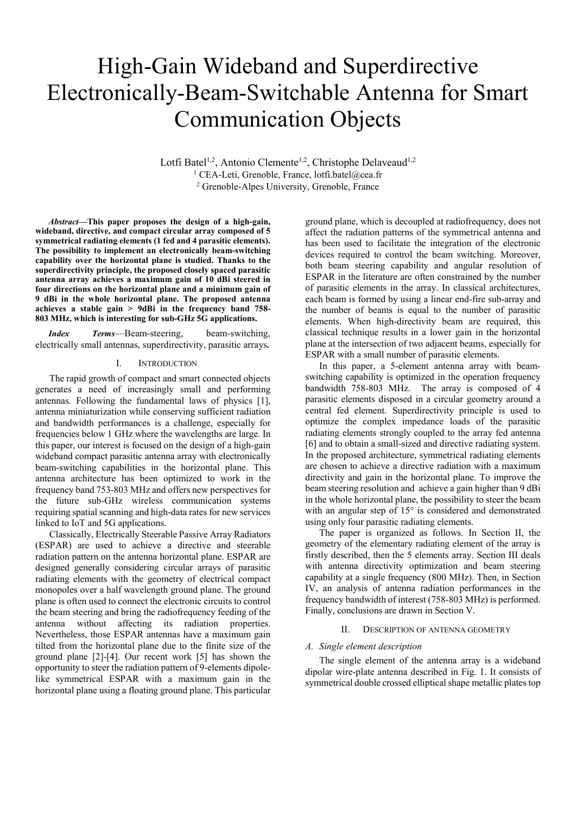# High-Gain Wideband and Superdirective Electronically-Beam-Switchable Antenna for Smart Communication Objects

Lotfi Batel<sup>1,2</sup>, Antonio Clemente<sup>1,2</sup>, Christophe Delaveaud<sup>1,2</sup> <sup>1</sup> CEA-Leti, Grenoble, France, lotfi.batel@cea.fr 2 Grenoble-Alpes University, Grenoble, France

*Abstract***—This paper proposes the design of a high-gain, wideband, directive, and compact circular array composed of 5 symmetrical radiating elements (1 fed and 4 parasitic elements). The possibility to implement an electronically beam-switching capability over the horizontal plane is studied. Thanks to the superdirectivity principle, the proposed closely spaced parasitic antenna array achieves a maximum gain of 10 dBi steered in four directions on the horizontal plane and a minimum gain of 9 dBi in the whole horizontal plane. The proposed antenna achieves a stable gain > 9dBi in the frequency band 758- 803 MHz, which is interesting for sub-GHz 5G applications.** 

*Index Terms*—Beam-steering, beam-switching, electrically small antennas, superdirectivity, parasitic arrays**.** 

#### I. INTRODUCTION

The rapid growth of compact and smart connected objects generates a need of increasingly small and performing antennas. Following the fundamental laws of physics [1], antenna miniaturization while conserving sufficient radiation and bandwidth performances is a challenge, especially for frequencies below 1 GHz where the wavelengths are large. In this paper, our interest is focused on the design of a high-gain wideband compact parasitic antenna array with electronically beam-switching capabilities in the horizontal plane. This antenna architecture has been optimized to work in the frequency band 753-803 MHz and offers new perspectives for the future sub-GHz wireless communication systems requiring spatial scanning and high-data rates for new services linked to IoT and 5G applications.

Classically, Electrically Steerable Passive Array Radiators (ESPAR) are used to achieve a directive and steerable radiation pattern on the antenna horizontal plane. ESPAR are designed generally considering circular arrays of parasitic radiating elements with the geometry of electrical compact monopoles over a half wavelength ground plane. The ground plane is often used to connect the electronic circuits to control the beam steering and bring the radiofrequency feeding of the antenna without affecting its radiation properties. Nevertheless, those ESPAR antennas have a maximum gain tilted from the horizontal plane due to the finite size of the ground plane [2]-[4]. Our recent work [5] has shown the opportunity to steer the radiation pattern of 9-elements dipolelike symmetrical ESPAR with a maximum gain in the horizontal plane using a floating ground plane. This particular

ground plane, which is decoupled at radiofrequency, does not affect the radiation patterns of the symmetrical antenna and has been used to facilitate the integration of the electronic devices required to control the beam switching. Moreover, both beam steering capability and angular resolution of ESPAR in the literature are often constrained by the number of parasitic elements in the array. In classical architectures, each beam is formed by using a linear end-fire sub-array and the number of beams is equal to the number of parasitic elements. When high-directivity beam are required, this classical technique results in a lower gain in the horizontal plane at the intersection of two adjacent beams, especially for ESPAR with a small number of parasitic elements.

In this paper, a 5-element antenna array with beamswitching capability is optimized in the operation frequency bandwidth 758-803 MHz. The array is composed of 4 parasitic elements disposed in a circular geometry around a central fed element. Superdirectivity principle is used to optimize the complex impedance loads of the parasitic radiating elements strongly coupled to the array fed antenna [6] and to obtain a small-sized and directive radiating system. In the proposed architecture, symmetrical radiating elements are chosen to achieve a directive radiation with a maximum directivity and gain in the horizontal plane. To improve the beam steering resolution and achieve a gain higher than 9 dBi in the whole horizontal plane, the possibility to steer the beam with an angular step of 15° is considered and demonstrated using only four parasitic radiating elements.

The paper is organized as follows. In Section II, the geometry of the elementary radiating element of the array is firstly described, then the 5 elements array. Section III deals with antenna directivity optimization and beam steering capability at a single frequency (800 MHz). Then, in Section IV, an analysis of antenna radiation performances in the frequency bandwidth of interest (758-803 MHz) is performed. Finally, conclusions are drawn in Section V.

#### II. DESCRIPTION OF ANTENNA GEOMETRY

#### *A. Single element description*

The single element of the antenna array is a wideband dipolar wire-plate antenna described in Fig. 1. It consists of symmetrical double crossed elliptical shape metallic plates top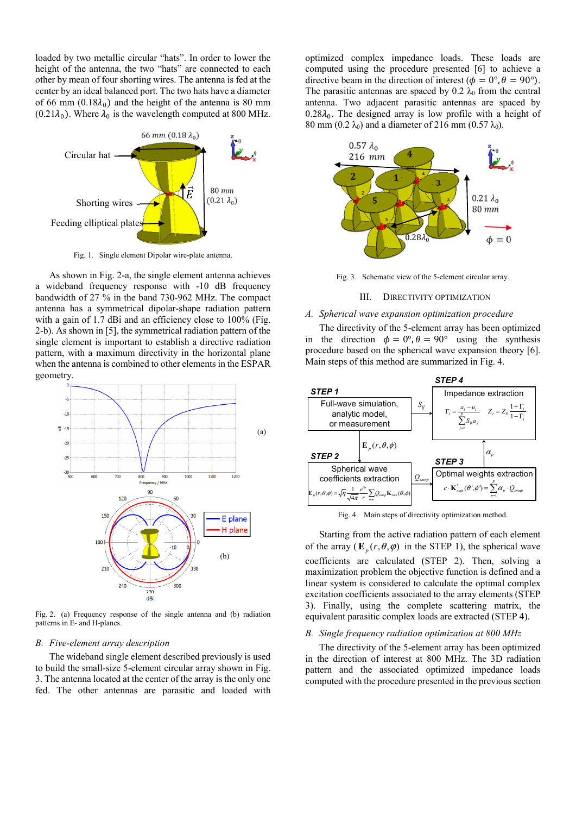loaded by two metallic circular "hats". In order to lower the height of the antenna, the two "hats" are connected to each other by mean of four shorting wires. The antenna is fed at the center by an ideal balanced port. The two hats have a diameter of 66 mm  $(0.18\lambda_0)$  and the height of the antenna is 80 mm  $(0.21\lambda_0)$ . Where  $\lambda_0$  is the wavelength computed at 800 MHz.



Fig. 1. Single element Dipolar wire-plate antenna.

As shown in Fig. 2-a, the single element antenna achieves a wideband frequency response with -10 dB frequency bandwidth of 27 % in the band 730-962 MHz. The compact antenna has a symmetrical dipolar-shape radiation pattern with a gain of 1.7 dBi and an efficiency close to 100% (Fig. 2-b). As shown in [5], the symmetrical radiation pattern of the single element is important to establish a directive radiation pattern, with a maximum directivity in the horizontal plane when the antenna is combined to other elements in the ESPAR geometry.



Fig. 2. (a) Frequency response of the single antenna and (b) radiation patterns in E- and H-planes.

#### *B. Five-element array description*

The wideband single element described previously is used to build the small-size 5-element circular array shown in Fig. 3. The antenna located at the center of the array is the only one fed. The other antennas are parasitic and loaded with optimized complex impedance loads. These loads are computed using the procedure presented [6] to achieve a directive beam in the direction of interest ( $\phi = 0^\circ$ ,  $\theta = 90^\circ$ ). The parasitic antennas are spaced by 0.2  $\lambda_0$  from the central antenna. Two adjacent parasitic antennas are spaced by  $0.28\lambda_0$ . The designed array is low profile with a height of 80 mm (0.2  $\lambda_0$ ) and a diameter of 216 mm (0.57  $\lambda_0$ ).



Fig. 3. Schematic view of the 5-element circular array.

#### III. DIRECTIVITY OPTIMIZATION

#### *A. Spherical wave expansion optimization procedure*

The directivity of the 5-element array has been optimized in the direction  $\phi = 0^\circ$ ,  $\theta = 90^\circ$  using the synthesis procedure based on the spherical wave expansion theory [6]. Main steps of this method are summarized in Fig. 4.



Fig. 4. Main steps of directivity optimization method.

Starting from the active radiation pattern of each element of the array  $(\mathbf{E}_p(r, \theta, \varphi))$  in the STEP 1), the spherical wave coefficients are calculated (STEP 2). Then, solving a maximization problem the objective function is defined and a linear system is considered to calculate the optimal complex excitation coefficients associated to the array elements (STEP 3). Finally, using the complete scattering matrix, the equivalent parasitic complex loads are extracted (STEP 4).

#### *B. Single frequency radiation optimization at 800 MHz*

The directivity of the 5-element array has been optimized in the direction of interest at 800 MHz. The 3D radiation pattern and the associated optimized impedance loads computed with the procedure presented in the previous section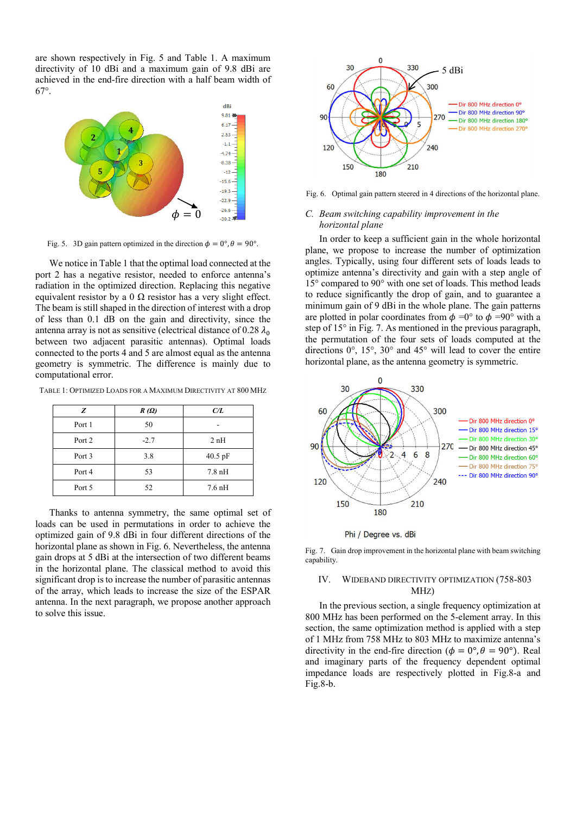are shown respectively in Fig. 5 and Table 1. A maximum directivity of 10 dBi and a maximum gain of 9.8 dBi are achieved in the end-fire direction with a half beam width of 67°.



Fig. 5. 3D gain pattern optimized in the direction  $\phi = 0^{\circ}, \theta = 90^{\circ}$ .

We notice in Table 1 that the optimal load connected at the port 2 has a negative resistor, needed to enforce antenna's radiation in the optimized direction. Replacing this negative equivalent resistor by a 0  $\Omega$  resistor has a very slight effect. The beam is still shaped in the direction of interest with a drop of less than 0.1 dB on the gain and directivity, since the antenna array is not as sensitive (electrical distance of 0.28  $\lambda_0$ ) between two adjacent parasitic antennas). Optimal loads connected to the ports 4 and 5 are almost equal as the antenna geometry is symmetric. The difference is mainly due to computational error.

TABLE 1: OPTIMIZED LOADS FOR A MAXIMUM DIRECTIVITY AT 800 MHZ

| Z      | $R(\Omega)$ | C/L                |
|--------|-------------|--------------------|
| Port 1 | 50          |                    |
| Port 2 | $-2.7$      | 2nH                |
| Port 3 | 3.8         | 40.5 pF            |
| Port 4 | 53          | $7.8\ \mathrm{nH}$ |
| Port 5 | 52          | $7.6$ nH           |

Thanks to antenna symmetry, the same optimal set of loads can be used in permutations in order to achieve the optimized gain of 9.8 dBi in four different directions of the horizontal plane as shown in Fig. 6. Nevertheless, the antenna gain drops at 5 dBi at the intersection of two different beams in the horizontal plane. The classical method to avoid this significant drop is to increase the number of parasitic antennas of the array, which leads to increase the size of the ESPAR antenna. In the next paragraph, we propose another approach to solve this issue.



Fig. 6. Optimal gain pattern steered in 4 directions of the horizontal plane.

#### *C. Beam switching capability improvement in the horizontal plane*

In order to keep a sufficient gain in the whole horizontal plane, we propose to increase the number of optimization angles. Typically, using four different sets of loads leads to optimize antenna's directivity and gain with a step angle of 15° compared to 90° with one set of loads. This method leads to reduce significantly the drop of gain, and to guarantee a minimum gain of 9 dBi in the whole plane. The gain patterns are plotted in polar coordinates from  $\phi = 0^{\circ}$  to  $\phi = 90^{\circ}$  with a step of 15° in Fig. 7. As mentioned in the previous paragraph, the permutation of the four sets of loads computed at the directions 0°, 15°, 30° and 45° will lead to cover the entire horizontal plane, as the antenna geometry is symmetric.



Phi / Degree vs. dBi

Fig. 7. Gain drop improvement in the horizontal plane with beam switching capability.

#### IV. WIDEBAND DIRECTIVITY OPTIMIZATION (758-803 MHZ)

In the previous section, a single frequency optimization at 800 MHz has been performed on the 5-element array. In this section, the same optimization method is applied with a step of 1 MHz from 758 MHz to 803 MHz to maximize antenna's directivity in the end-fire direction ( $\phi = 0^{\circ}, \theta = 90^{\circ}$ ). Real and imaginary parts of the frequency dependent optimal impedance loads are respectively plotted in Fig.8-a and Fig.8-b.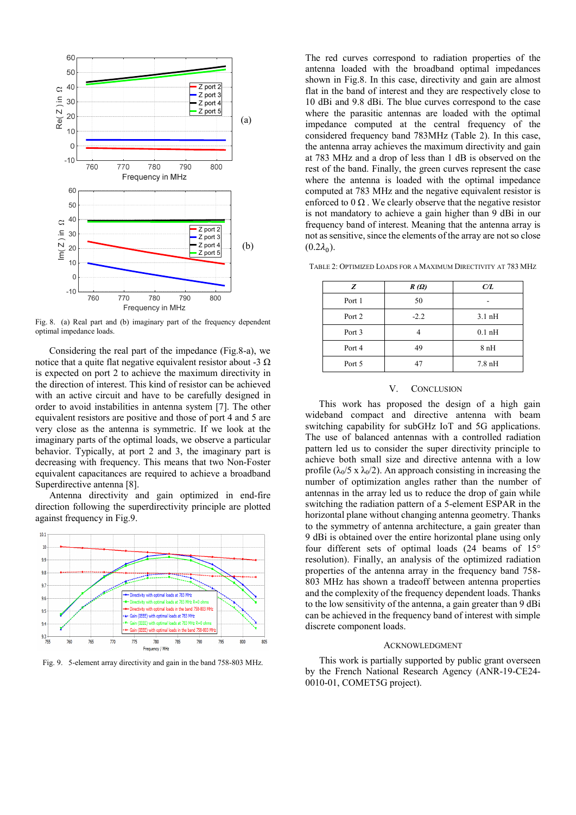

Fig. 8. (a) Real part and (b) imaginary part of the frequency dependent optimal impedance loads.

Considering the real part of the impedance (Fig.8-a), we notice that a quite flat negative equivalent resistor about -3  $\Omega$ is expected on port 2 to achieve the maximum directivity in the direction of interest. This kind of resistor can be achieved with an active circuit and have to be carefully designed in order to avoid instabilities in antenna system [7]. The other equivalent resistors are positive and those of port 4 and 5 are very close as the antenna is symmetric. If we look at the imaginary parts of the optimal loads, we observe a particular behavior. Typically, at port 2 and 3, the imaginary part is decreasing with frequency. This means that two Non-Foster equivalent capacitances are required to achieve a broadband Superdirective antenna [8].

Antenna directivity and gain optimized in end-fire direction following the superdirectivity principle are plotted against frequency in Fig.9.



Fig. 9. 5-element array directivity and gain in the band 758-803 MHz.

The red curves correspond to radiation properties of the antenna loaded with the broadband optimal impedances shown in Fig.8. In this case, directivity and gain are almost flat in the band of interest and they are respectively close to 10 dBi and 9.8 dBi. The blue curves correspond to the case where the parasitic antennas are loaded with the optimal impedance computed at the central frequency of the considered frequency band 783MHz (Table 2). In this case, the antenna array achieves the maximum directivity and gain at 783 MHz and a drop of less than 1 dB is observed on the rest of the band. Finally, the green curves represent the case where the antenna is loaded with the optimal impedance computed at 783 MHz and the negative equivalent resistor is enforced to  $0 \Omega$ . We clearly observe that the negative resistor is not mandatory to achieve a gain higher than 9 dBi in our frequency band of interest. Meaning that the antenna array is not as sensitive, since the elements of the array are not so close  $(0.2\lambda_0)$ .

TABLE 2: OPTIMIZED LOADS FOR A MAXIMUM DIRECTIVITY AT 783 MHZ

| Z      | $R(\Omega)$ | C/L                |
|--------|-------------|--------------------|
| Port 1 | 50          |                    |
| Port 2 | $-2.2$      | $3.1\,\mathrm{nH}$ |
| Port 3 |             | $0.1$ nH           |
| Port 4 | 49          | 8nH                |
| Port 5 | 47          | $7.8\ \mathrm{nH}$ |

#### V. CONCLUSION

This work has proposed the design of a high gain wideband compact and directive antenna with beam switching capability for subGHz IoT and 5G applications. The use of balanced antennas with a controlled radiation pattern led us to consider the super directivity principle to achieve both small size and directive antenna with a low profile ( $\lambda_0/5$  x  $\lambda_0/2$ ). An approach consisting in increasing the number of optimization angles rather than the number of antennas in the array led us to reduce the drop of gain while switching the radiation pattern of a 5-element ESPAR in the horizontal plane without changing antenna geometry. Thanks to the symmetry of antenna architecture, a gain greater than 9 dBi is obtained over the entire horizontal plane using only four different sets of optimal loads (24 beams of 15° resolution). Finally, an analysis of the optimized radiation properties of the antenna array in the frequency band 758- 803 MHz has shown a tradeoff between antenna properties and the complexity of the frequency dependent loads. Thanks to the low sensitivity of the antenna, a gain greater than 9 dBi can be achieved in the frequency band of interest with simple discrete component loads.

#### ACKNOWLEDGMENT

This work is partially supported by public grant overseen by the French National Research Agency (ANR-19-CE24- 0010-01, COMET5G project).